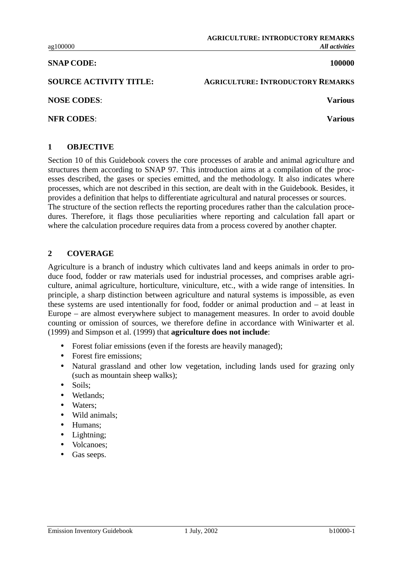# **SNAP CODE: 100000**

**SOURCE ACTIVITY TITLE: AGRICULTURE: INTRODUCTORY REMARKS**

**NOSE CODES**: **Various**

**NFR CODES**: **Various**

## **1 OBJECTIVE**

Section 10 of this Guidebook covers the core processes of arable and animal agriculture and structures them according to SNAP 97. This introduction aims at a compilation of the processes described, the gases or species emitted, and the methodology. It also indicates where processes, which are not described in this section, are dealt with in the Guidebook. Besides, it provides a definition that helps to differentiate agricultural and natural processes or sources. The structure of the section reflects the reporting procedures rather than the calculation procedures. Therefore, it flags those peculiarities where reporting and calculation fall apart or where the calculation procedure requires data from a process covered by another chapter.

# **2 COVERAGE**

Agriculture is a branch of industry which cultivates land and keeps animals in order to produce food, fodder or raw materials used for industrial processes, and comprises arable agriculture, animal agriculture, horticulture, viniculture, etc., with a wide range of intensities. In principle, a sharp distinction between agriculture and natural systems is impossible, as even these systems are used intentionally for food, fodder or animal production and – at least in Europe – are almost everywhere subject to management measures. In order to avoid double counting or omission of sources, we therefore define in accordance with Winiwarter et al. (1999) and Simpson et al. (1999) that **agriculture does not include**:

- Forest foliar emissions (even if the forests are heavily managed);
- Forest fire emissions;
- Natural grassland and other low vegetation, including lands used for grazing only (such as mountain sheep walks);
- Soils:
- Wetlands:
- Waters:
- Wild animals;
- Humans;
- Lightning;
- Volcanoes;
- Gas seeps.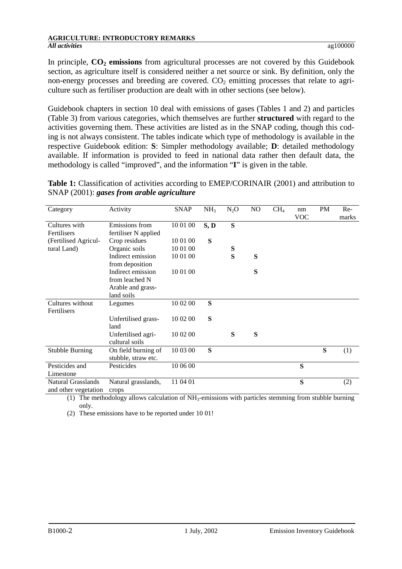In principle,  $CO<sub>2</sub>$  emissions from agricultural processes are not covered by this Guidebook section, as agriculture itself is considered neither a net source or sink. By definition, only the non-energy processes and breeding are covered.  $CO<sub>2</sub>$  emitting processes that relate to agriculture such as fertiliser production are dealt with in other sections (see below).

Guidebook chapters in section 10 deal with emissions of gases (Tables 1 and 2) and particles (Table 3) from various categories, which themselves are further **structured** with regard to the activities governing them. These activities are listed as in the SNAP coding, though this coding is not always consistent. The tables indicate which type of methodology is available in the respective Guidebook edition: **S**: Simpler methodology available; **D**: detailed methodology available. If information is provided to feed in national data rather then default data, the methodology is called "improved", and the information "**I**" is given in the table.

**Table 1:** Classification of activities according to EMEP/CORINAIR (2001) and attribution to SNAP (2001): *gases from arable agriculture*

| Category               | Activity             | <b>SNAP</b> | NH <sub>3</sub> | $N_2O$ | N <sub>O</sub> | CH <sub>4</sub> | nm         | <b>PM</b> | Re-   |
|------------------------|----------------------|-------------|-----------------|--------|----------------|-----------------|------------|-----------|-------|
|                        |                      |             |                 |        |                |                 | <b>VOC</b> |           | marks |
| Cultures with          | Emissions from       | 10 01 00    | S, D            | S      |                |                 |            |           |       |
| Fertilisers            | fertiliser N applied |             |                 |        |                |                 |            |           |       |
| (Fertilised Agricul-   | Crop residues        | 10 01 00    | S               |        |                |                 |            |           |       |
| tural Land)            | Organic soils        | 10 01 00    |                 | S      |                |                 |            |           |       |
|                        | Indirect emission    | 10 01 00    |                 | S      | S              |                 |            |           |       |
|                        | from deposition      |             |                 |        |                |                 |            |           |       |
|                        | Indirect emission    | 10 01 00    |                 |        | S              |                 |            |           |       |
|                        | from leached N       |             |                 |        |                |                 |            |           |       |
|                        | Arable and grass-    |             |                 |        |                |                 |            |           |       |
|                        | land soils           |             |                 |        |                |                 |            |           |       |
| Cultures without       | Legumes              | 10 02 00    | ${\bf S}$       |        |                |                 |            |           |       |
| Fertilisers            |                      |             |                 |        |                |                 |            |           |       |
|                        | Unfertilised grass-  | 10 02 00    | S               |        |                |                 |            |           |       |
|                        | land                 |             |                 |        |                |                 |            |           |       |
|                        | Unfertilised agri-   | 10 02 00    |                 | S      | S              |                 |            |           |       |
|                        | cultural soils       |             |                 |        |                |                 |            |           |       |
| <b>Stubble Burning</b> | On field burning of  | 10 03 00    | S               |        |                |                 |            | S         | (1)   |
|                        | stubble, straw etc.  |             |                 |        |                |                 |            |           |       |
| Pesticides and         | Pesticides           | 10 06 00    |                 |        |                |                 | S          |           |       |
| Limestone              |                      |             |                 |        |                |                 |            |           |       |
| Natural Grasslands     | Natural grasslands,  | 11 04 01    |                 |        |                |                 | S          |           | (2)   |
| and other vegetation   | crops                |             |                 |        |                |                 |            |           |       |

(1) The methodology allows calculation of  $NH_3$ -emissions with particles stemming from stubble burning only.

(2) These emissions have to be reported under 10 01!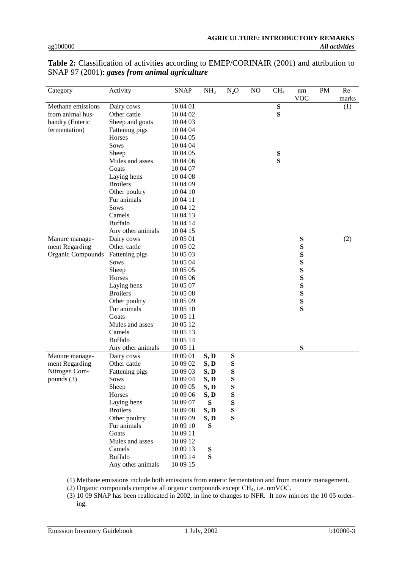| Category          | Activity          | <b>SNAP</b> | NH <sub>3</sub> | $N_2O$    | NO | CH <sub>4</sub> | nm<br>VOC | <b>PM</b> | Re-          |
|-------------------|-------------------|-------------|-----------------|-----------|----|-----------------|-----------|-----------|--------------|
| Methane emissions | Dairy cows        | 10 04 01    |                 |           |    | ${\bf S}$       |           |           | marks<br>(1) |
| from animal hus-  | Other cattle      | 10 04 02    |                 |           |    | ${\bf S}$       |           |           |              |
| bandry (Enteric   | Sheep and goats   | 10 04 03    |                 |           |    |                 |           |           |              |
| fermentation)     | Fattening pigs    | 10 04 04    |                 |           |    |                 |           |           |              |
|                   | Horses            | 10 04 05    |                 |           |    |                 |           |           |              |
|                   | Sows              | 10 04 04    |                 |           |    |                 |           |           |              |
|                   | Sheep             | 10 04 05    |                 |           |    | ${\bf S}$       |           |           |              |
|                   | Mules and asses   | 10 04 06    |                 |           |    | $\mathbf S$     |           |           |              |
|                   | Goats             | 10 04 07    |                 |           |    |                 |           |           |              |
|                   | Laying hens       | 10 04 08    |                 |           |    |                 |           |           |              |
|                   | <b>Broilers</b>   | 10 04 09    |                 |           |    |                 |           |           |              |
|                   | Other poultry     | 10 04 10    |                 |           |    |                 |           |           |              |
|                   | Fur animals       | 10 04 11    |                 |           |    |                 |           |           |              |
|                   | Sows              | 10 04 12    |                 |           |    |                 |           |           |              |
|                   | Camels            | 10 04 13    |                 |           |    |                 |           |           |              |
|                   | <b>Buffalo</b>    | 10 04 14    |                 |           |    |                 |           |           |              |
|                   | Any other animals | 10 04 15    |                 |           |    |                 |           |           |              |
| Manure manage-    | Dairy cows        | 10 05 01    |                 |           |    |                 | ${\bf S}$ |           | (2)          |
| ment Regarding    | Other cattle      | 10 05 02    |                 |           |    |                 | ${\bf S}$ |           |              |
| Organic Compounds | Fattening pigs    | 10 05 03    |                 |           |    |                 | ${\bf S}$ |           |              |
|                   | Sows              | 10 05 04    |                 |           |    |                 | ${\bf S}$ |           |              |
|                   | Sheep             | 10 05 05    |                 |           |    |                 | ${\bf S}$ |           |              |
|                   | Horses            | 10 05 06    |                 |           |    |                 | ${\bf S}$ |           |              |
|                   | Laying hens       | 10 05 07    |                 |           |    |                 | ${\bf S}$ |           |              |
|                   | <b>Broilers</b>   | 10 05 08    |                 |           |    |                 | ${\bf S}$ |           |              |
|                   | Other poultry     | 10 05 09    |                 |           |    |                 | ${\bf S}$ |           |              |
|                   | Fur animals       | 10 05 10    |                 |           |    |                 | S         |           |              |
|                   | Goats             | 10 05 11    |                 |           |    |                 |           |           |              |
|                   | Mules and asses   | 10 05 12    |                 |           |    |                 |           |           |              |
|                   | Camels            | 10 05 13    |                 |           |    |                 |           |           |              |
|                   | <b>Buffalo</b>    | 10 05 14    |                 |           |    |                 |           |           |              |
|                   | Any other animals | 10 05 11    |                 |           |    |                 | ${\bf S}$ |           |              |
| Manure manage-    | Dairy cows        | 10 09 01    | S, D            | S         |    |                 |           |           |              |
| ment Regarding    | Other cattle      | 10 09 02    | S, D            | ${\bf S}$ |    |                 |           |           |              |
| Nitrogen Com-     | Fattening pigs    | 10 09 03    | S, D            | ${\bf S}$ |    |                 |           |           |              |
| pounds $(3)$      | Sows              | 10 09 04    | S, D            | S         |    |                 |           |           |              |
|                   | Sheep             | 10 09 05    | S, D            | S         |    |                 |           |           |              |
|                   | Horses            | 10 09 06    | S, D            | ${\bf S}$ |    |                 |           |           |              |
|                   | Laying hens       | 10 09 07    | S               | ${\bf S}$ |    |                 |           |           |              |
|                   | <b>Broilers</b>   | 10 09 08    | S, D            | ${\bf S}$ |    |                 |           |           |              |
|                   | Other poultry     | 10 09 09    | S, D            | S         |    |                 |           |           |              |
|                   | Fur animals       | 10 09 10    | ${\bf S}$       |           |    |                 |           |           |              |
|                   | Goats             | 10 09 11    |                 |           |    |                 |           |           |              |
|                   | Mules and asses   | 10 09 12    |                 |           |    |                 |           |           |              |
|                   | Camels            | 10 09 13    | S               |           |    |                 |           |           |              |
|                   | <b>Buffalo</b>    | 10 09 14    | S               |           |    |                 |           |           |              |
|                   | Any other animals | 10 09 15    |                 |           |    |                 |           |           |              |

**Table 2:** Classification of activities according to EMEP/CORINAIR (2001) and attribution to SNAP 97 (2001): *gases from animal agriculture*

(1) Methane emissions include both emissions from enteric fermentation and from manure management.

(2) Organic compounds comprise all organic compounds except CH4, i.e. nmVOC.

(3) 10 09 SNAP has been reallocated in 2002, in line to changes to NFR. It now mirrors the 10 05 ordering.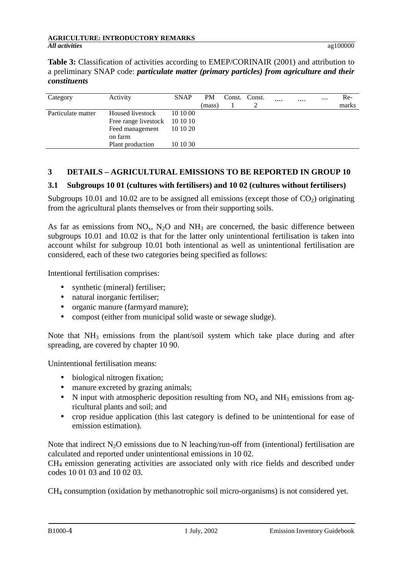**Table 3:** Classification of activities according to EMEP/CORINAIR (2001) and attribution to a preliminary SNAP code: *particulate matter (primary particles) from agriculture and their constituents*

| Category           | Activity                      | <b>SNAP</b> | <b>PM</b> | Const. Const. | <br>$\cdots$ | $\cdots$ | Re-   |
|--------------------|-------------------------------|-------------|-----------|---------------|--------------|----------|-------|
|                    |                               |             | (mass)    |               |              |          | marks |
| Particulate matter | Housed livestock              | 10 10 00    |           |               |              |          |       |
|                    | Free range livestock 10 10 10 |             |           |               |              |          |       |
|                    | Feed management               | 10 10 20    |           |               |              |          |       |
|                    | on farm                       |             |           |               |              |          |       |
|                    | Plant production              | 10 10 30    |           |               |              |          |       |

# **3 DETAILS – AGRICULTURAL EMISSIONS TO BE REPORTED IN GROUP 10**

# **3.1 Subgroups 10 01 (cultures with fertilisers) and 10 02 (cultures without fertilisers)**

Subgroups 10.01 and 10.02 are to be assigned all emissions (except those of  $CO<sub>2</sub>$ ) originating from the agricultural plants themselves or from their supporting soils.

As far as emissions from  $NO_x$ ,  $N_2O$  and  $NH_3$  are concerned, the basic difference between subgroups 10.01 and 10.02 is that for the latter only unintentional fertilisation is taken into account whilst for subgroup 10.01 both intentional as well as unintentional fertilisation are considered, each of these two categories being specified as follows:

Intentional fertilisation comprises:

- synthetic (mineral) fertiliser;
- natural inorganic fertiliser;
- organic manure (farmyard manure):
- compost (either from municipal solid waste or sewage sludge).

Note that NH<sub>3</sub> emissions from the plant/soil system which take place during and after spreading, are covered by chapter 10 90.

Unintentional fertilisation means:

- biological nitrogen fixation;
- manure excreted by grazing animals;
- N input with atmospheric deposition resulting from  $NO<sub>x</sub>$  and  $NH<sub>3</sub>$  emissions from agricultural plants and soil; and
- crop residue application (this last category is defined to be unintentional for ease of emission estimation).

Note that indirect  $N_2O$  emissions due to N leaching/run-off from (intentional) fertilisation are calculated and reported under unintentional emissions in 10 02.

CH4 emission generating activities are associated only with rice fields and described under codes 10 01 03 and 10 02 03.

CH4 consumption (oxidation by methanotrophic soil micro-organisms) is not considered yet.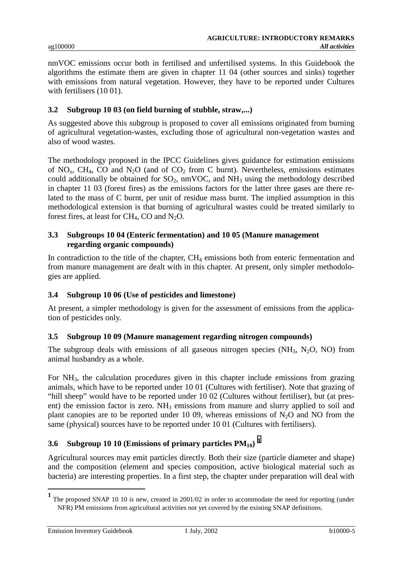nmVOC emissions occur both in fertilised and unfertilised systems. In this Guidebook the algorithms the estimate them are given in chapter 11 04 (other sources and sinks) together with emissions from natural vegetation. However, they have to be reported under Cultures with fertilisers (10 01).

# **3.2 Subgroup 10 03 (on field burning of stubble, straw,...)**

As suggested above this subgroup is proposed to cover all emissions originated from burning of agricultural vegetation-wastes, excluding those of agricultural non-vegetation wastes and also of wood wastes.

The methodology proposed in the IPCC Guidelines gives guidance for estimation emissions of  $NO<sub>x</sub>$ , CH<sub>4</sub>, CO and  $N<sub>2</sub>O$  (and of CO<sub>2</sub> from C burnt). Nevertheless, emissions estimates could additionally be obtained for  $SO_2$ , nmVOC, and  $NH<sub>3</sub>$  using the methodology described in chapter 11 03 (forest fires) as the emissions factors for the latter three gases are there related to the mass of C burnt, per unit of residue mass burnt. The implied assumption in this methodological extension is that burning of agricultural wastes could be treated similarly to forest fires, at least for CH<sub>4</sub>, CO and  $N_2O$ .

# **3.3 Subgroups 10 04 (Enteric fermentation) and 10 05 (Manure management regarding organic compounds)**

In contradiction to the title of the chapter,  $CH<sub>4</sub>$  emissions both from enteric fermentation and from manure management are dealt with in this chapter. At present, only simpler methodologies are applied.

# **3.4 Subgroup 10 06 (Use of pesticides and limestone)**

At present, a simpler methodology is given for the assessment of emissions from the application of pesticides only.

# **3.5 Subgroup 10 09 (Manure management regarding nitrogen compounds)**

The subgroup deals with emissions of all gaseous nitrogen species  $(NH_3, N_2O, NO)$  from animal husbandry as a whole.

For NH3, the calculation procedures given in this chapter include emissions from grazing animals, which have to be reported under 10 01 (Cultures with fertiliser). Note that grazing of "hill sheep" would have to be reported under 10 02 (Cultures without fertiliser), but (at present) the emission factor is zero.  $NH_3$  emissions from manure and slurry applied to soil and plant canopies are to be reported under 10 09, whereas emissions of  $N_2O$  and NO from the same (physical) sources have to be reported under 10 01 (Cultures with fertilisers).

# **3.6 Subgroup 10 10 (Emissions of primary particles PM10) <sup>1</sup>**

Agricultural sources may emit particles directly. Both their size (particle diameter and shape) and the composition (element and species composition, active biological material such as bacteria) are interesting properties. In a first step, the chapter under preparation will deal with

 $\overline{a}$ 

<sup>&</sup>lt;sup>1</sup> The proposed SNAP 10 10 is new, created in 2001/02 in order to accommodate the need for reporting (under NFR) PM emissions from agricultural activities not yet covered by the existing SNAP definitions.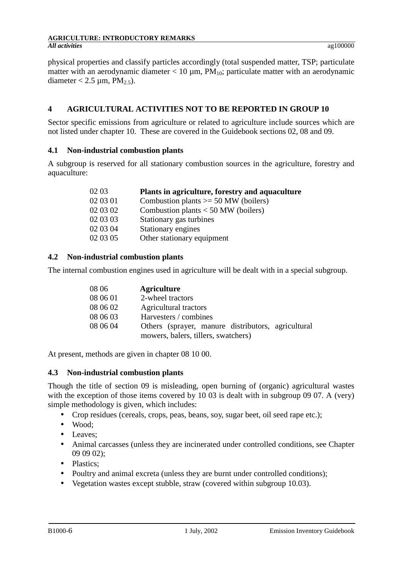#### **AGRICULTURE: INTRODUCTORY REMARKS** *All activities* ag100000

physical properties and classify particles accordingly (total suspended matter, TSP; particulate matter with an aerodynamic diameter  $< 10 \text{ µm}$ . PM<sub>10</sub>; particulate matter with an aerodynamic diameter < 2.5  $\mu$ m, PM<sub>2.5</sub>).

# **4 AGRICULTURAL ACTIVITIES NOT TO BE REPORTED IN GROUP 10**

Sector specific emissions from agriculture or related to agriculture include sources which are not listed under chapter 10. These are covered in the Guidebook sections 02, 08 and 09.

# **4.1 Non-industrial combustion plants**

A subgroup is reserved for all stationary combustion sources in the agriculture, forestry and aquaculture:

| 02 03    | Plants in agriculture, forestry and aquaculture |
|----------|-------------------------------------------------|
| 02 03 01 | Combustion plants $\ge$ 50 MW (boilers)         |
| 02 03 02 | Combustion plants $<$ 50 MW (boilers)           |
| 02 03 03 | Stationary gas turbines                         |
| 02 03 04 | Stationary engines                              |
| 02 03 05 | Other stationary equipment                      |

# **4.2 Non-industrial combustion plants**

The internal combustion engines used in agriculture will be dealt with in a special subgroup.

| 08 06    | <b>Agriculture</b>                                 |
|----------|----------------------------------------------------|
| 08 06 01 | 2-wheel tractors                                   |
| 08 06 02 | Agricultural tractors                              |
| 08 06 03 | Harvesters / combines                              |
| 08 06 04 | Others (sprayer, manure distributors, agricultural |
|          | mowers, balers, tillers, swatchers)                |

At present, methods are given in chapter 08 10 00.

# **4.3 Non-industrial combustion plants**

Though the title of section 09 is misleading, open burning of (organic) agricultural wastes with the exception of those items covered by 10 03 is dealt with in subgroup 09 07. A (very) simple methodology is given, which includes:

- Crop residues (cereals, crops, peas, beans, soy, sugar beet, oil seed rape etc.);
- Wood:
- Leaves:
- Animal carcasses (unless they are incinerated under controlled conditions, see Chapter 09 09 02);
- Plastics:
- Poultry and animal excreta (unless they are burnt under controlled conditions);
- Vegetation wastes except stubble, straw (covered within subgroup 10.03).